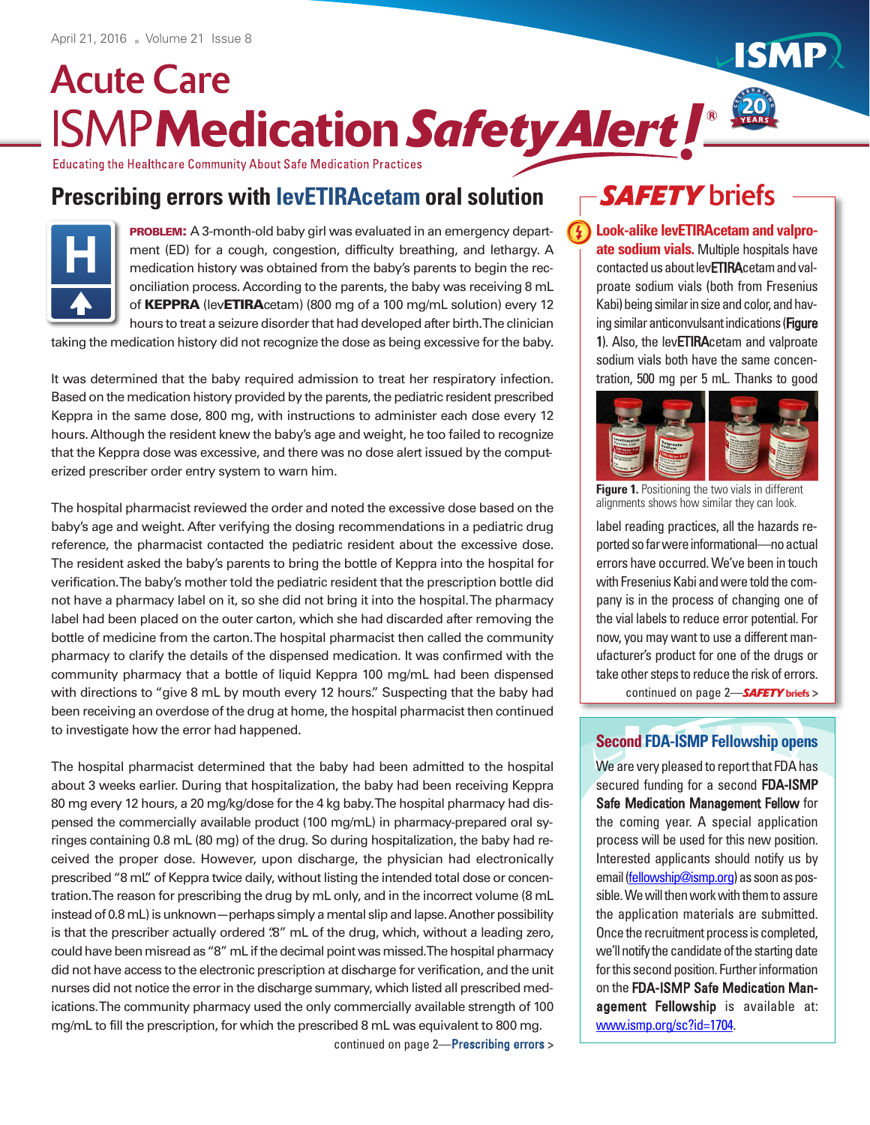# **Acute Care** ISMP Medication Safety Alert J<sup>®</sup>

Educating the Healthcare Community About Safe Medication Practices

## **Prescribing errors with levETIRAcetam oral solution**



**PROBLEM:** A 3-month-old baby girl was evaluated in an emergency department (ED) for a cough, congestion, difficulty breathing, and lethargy. A medication history was obtained from the baby's parents to begin the reconciliation process. According to the parents, the baby was receiving 8 mL of **KEPPRA** (lev**ETIRA**cetam) (800 mg of a 100 mg/mL solution) every 12 hours to treat a seizure disorder that had developed after birth. The clinician

taking the medication history did not recognize the dose as being excessive for the baby.

It was determined that the baby required admission to treat her respiratory infection. Based on the medication history provided by the parents, the pediatric resident prescribed Keppra in the same dose, 800 mg, with instructions to administer each dose every 12 hours.Although the resident knew the baby's age and weight, he too failed to recognize that the Keppra dose was excessive, and there was no dose alert issued by the computerized prescriber order entry system to warn him.

The hospital pharmacist reviewed the order and noted the excessive dose based on the baby's age and weight. After verifying the dosing recommendations in a pediatric drug reference, the pharmacist contacted the pediatric resident about the excessive dose. The resident asked the baby's parents to bring the bottle of Keppra into the hospital for verification.The baby's mother told the pediatric resident that the prescription bottle did not have a pharmacy label on it, so she did not bring it into the hospital.The pharmacy label had been placed on the outer carton, which she had discarded after removing the bottle of medicine from the carton.The hospital pharmacist then called the community pharmacy to clarify the details of the dispensed medication. It was confirmed with the community pharmacy that a bottle of liquid Keppra 100 mg/mL had been dispensed with directions to "give 8 mL by mouth every 12 hours." Suspecting that the baby had been receiving an overdose of the drug at home, the hospital pharmacist then continued to investigate how the error had happened.

The hospital pharmacist determined that the baby had been admitted to the hospital about 3 weeks earlier. During that hospitalization, the baby had been receiving Keppra 80 mg every 12 hours, a 20 mg/kg/dose for the 4 kg baby. The hospital pharmacy had dispensed the commercially available product (100 mg/mL) in pharmacy-prepared oral syringes containing 0.8 mL (80 mg) of the drug. So during hospitalization, the baby had received the proper dose. However, upon discharge, the physician had electronically prescribed"8 mL" of Keppra twice daily, without listing the intended total dose or concentration.The reason for prescribing the drug by mL only, and in the incorrect volume (8 mL instead of 0.8 mL) is unknown—perhaps simply a mental slip and lapse. Another possibility is that the prescriber actually ordered "8" mL of the drug, which, without a leading zero, could have been misread as "8" mL if the decimal point was missed. The hospital pharmacy did not have access to the electronic prescription at discharge for verification, and the unit nurses did not notice the errorin the discharge summary, which listed all prescribed medications.The community pharmacy used the only commercially available strength of 100 mg/mL to fill the prescription, for which the prescribed 8 mL was equivalent to 800 mg.

continued on page 2—Prescribing errors **>**

# - **SAFETY** briefs

**Look-alike levETIRAcetam and valproate sodium vials.** Multiple hospitals have contacted us about lev**ETIRA** cetam and valproate sodium vials (both from Fresenius Kabi) being similar in size and color, and having similar anticonvulsant indications (Figure 1). Also, the lev**ETIRA** cetam and valproate sodium vials both have the same concentration, 500 mg per 5 mL. Thanks to good



**Figure 1.** Positioning the two vials in different alignments shows how similar they can look.

label reading practices, all the hazards reported so far were informational—no actual errors have occurred. We've been in touch with Fresenius Kabi and were told the company is in the process of changing one of the vial labels to reduce error potential. For now, you may want to use a different manufacturer's product for one of the drugs or take other steps to reduce the risk of errors.

continued on page 2—*SAFETY* **briefs >**

### **Second FDA-ISMP Fellowship opens**

We are very pleased to report that FDA has secured funding for a second **FDA-ISMP** Safe Medication Management Fellow for the coming year. A special application process will be used for this new position. Interested applicants should notify us by email (fellowship@ismp.org) as soon as possible. We will then work with them to assure the application materials are submitted. Once the recruitment process is completed, we'll notify the candidate of the starting date for this second position. Further information on the FDA-ISMP Safe Medication Management Fellowship is available at: www.ismp.org/sc?id=1704.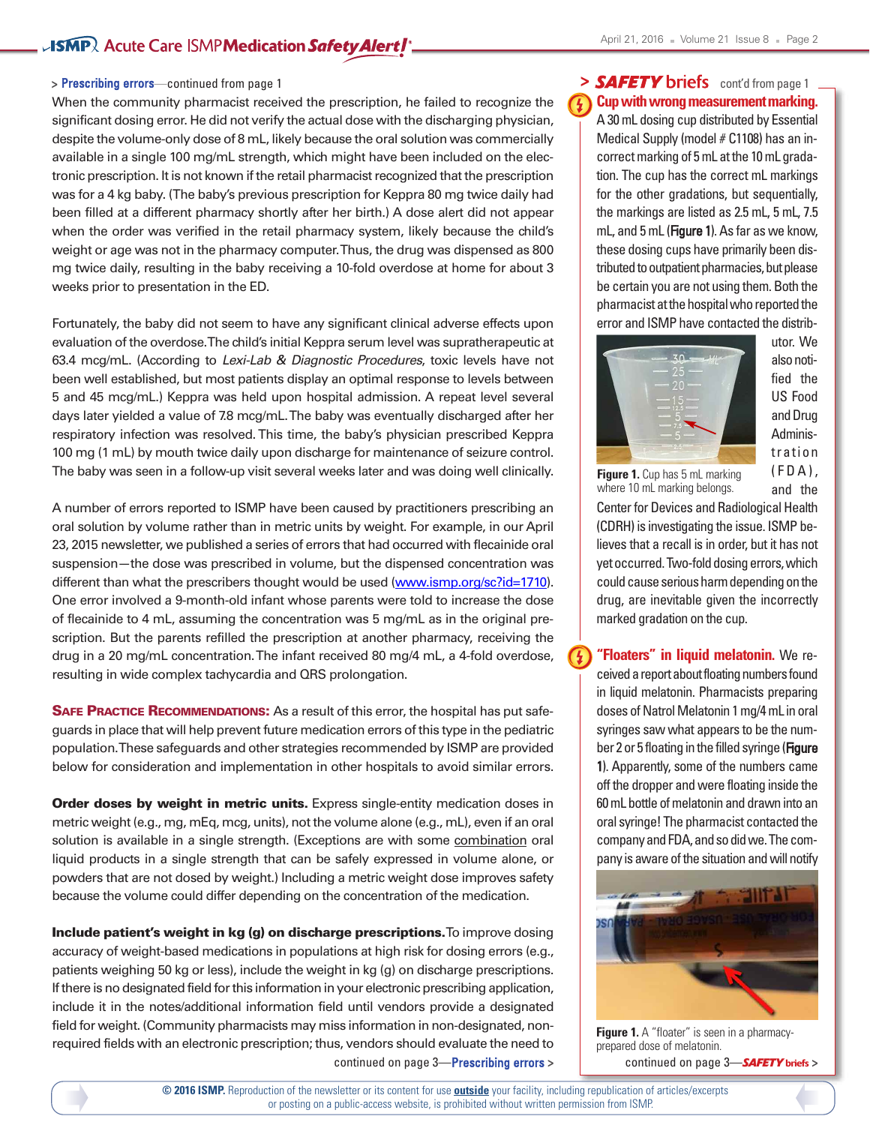### **ISMP**<sub>R</sub> Acute Care ISMP**Medication Safety AlertI**<sup>\*</sup>

#### **>** Prescribing errors—continued from page 1

When the community pharmacist received the prescription, he failed to recognize the significant dosing error. He did not verify the actual dose with the discharging physician, despite the volume-only dose of 8 mL, likely because the oral solution was commercially available in a single 100 mg/mL strength, which might have been included on the electronic prescription. It is not known if the retail pharmacistrecognized that the prescription was for a 4 kg baby. (The baby's previous prescription for Keppra 80 mg twice daily had been filled at a different pharmacy shortly after her birth.) A dose alert did not appear when the order was verified in the retail pharmacy system, likely because the child's weight or age was not in the pharmacy computer.Thus, the drug was dispensed as 800 mg twice daily, resulting in the baby receiving a 10-fold overdose at home for about 3 weeks prior to presentation in the ED.

Fortunately, the baby did not seem to have any significant clinical adverse effects upon evaluation of the overdose.The child's initial Keppra serum level was supratherapeutic at 63.4 mcg/mL. (According to *Lexi-Lab & Diagnostic Procedures*, toxic levels have not been well established, but most patients display an optimal response to levels between 5 and 45 mcg/mL.) Keppra was held upon hospital admission. A repeat level several days later yielded a value of 7.8 mcg/mL.The baby was eventually discharged after her respiratory infection was resolved.This time, the baby's physician prescribed Keppra 100 mg (1 mL) by mouth twice daily upon discharge for maintenance of seizure control. The baby was seen in a follow-up visit several weeks later and was doing well clinically.

A number of errors reported to ISMP have been caused by practitioners prescribing an oral solution by volume rather than in metric units by weight. For example, in our April 23, 2015 newsletter, we published a series of errors that had occurred with flecainide oral suspension—the dose was prescribed in volume, but the dispensed concentration was different than what the prescribers thought would be used (www.ismp.org/sc?id=1710). One error involved a 9-month-old infant whose parents were told to increase the dose of flecainide to 4 mL, assuming the concentration was 5 mg/mL as in the original prescription. But the parents refilled the prescription at another pharmacy, receiving the drug in a 20 mg/mL concentration.The infant received 80 mg/4 mL, a 4-fold overdose, resulting in wide complex tachycardia and QRS prolongation.

**SAFE PRACTICE RECOMMENDATIONS:** As a result of this error, the hospital has put safeguards in place that will help prevent future medication errors of this type in the pediatric population.These safeguards and other strategies recommended by ISMP are provided below for consideration and implementation in other hospitals to avoid similar errors.

**Order doses by weight in metric units.** Express single-entity medication doses in metric weight (e.g., mg, mEq, mcg, units), not the volume alone (e.g., mL), even if an oral solution is available in a single strength. (Exceptions are with some combination oral liquid products in a single strength that can be safely expressed in volume alone, or powders that are not dosed by weight.) Including a metric weight dose improves safety because the volume could differ depending on the concentration of the medication.

**Include patient's weight in kg (g) on discharge prescriptions.**To improve dosing accuracy of weight-based medications in populations at high risk for dosing errors (e.g., patients weighing 50 kg or less), include the weight in kg (g) on discharge prescriptions. Ifthere is no designated field forthis information in your electronic prescribing application, include it in the notes/additional information field until vendors provide a designated field for weight. (Community pharmacists may miss information in non-designated, nonrequired fields with an electronic prescription; thus, vendors should evaluate the need to continued on page 3—Prescribing errors **>**

### **Cup with wrong measurement marking.** > **SAFETY** briefs cont'd from page 1

A30 mL dosing cup distributed by Essential Medical Supply (model # C1108) has an incorrectmarking of 5mL atthe 10mL gradation. The cup has the correct mL markings for the other gradations, but sequentially, the markings are listed as 2.5 mL, 5 mL, 7.5 mL, and 5 mL (Figure 1). As far as we know, these dosing cups have primarily been distributed to outpatient pharmacies, but please be certain you are not using them. Both the pharmacist at the hospital who reported the error and ISMP have contacted the distrib-



utor. We also notified the US Food and Drug Administration  $(FDA)$ , and the

**Figure 1.** Cup has 5 mL marking where 10 mL marking belongs.

Center for Devices and Radiological Health (CDRH) is investigating the issue. ISMP believes that a recall is in order, but it has not yet occurred. Two-fold dosing errors, which could cause serious harm depending on the drug, are inevitable given the incorrectly marked gradation on the cup.

**"Floaters" in liquid melatonin.** We received a report about floating numbers found in liquid melatonin. Pharmacists preparing doses of Natrol Melatonin 1 mg/4 mL in oral syringes saw what appears to be the number 2 or 5 floating in the filled syringe (Figure 1). Apparently, some of the numbers came off the dropper and were floating inside the 60 mL bottle of melatonin and drawn into an oral syringe! The pharmacist contacted the company and FDA, and so did we. The company is aware of the situation and will notify



continued on page 3—*SAFETY* **briefs > Figure 1.** A "floater" is seen in a pharmacyprepared dose of melatonin.

**© 2016 ISMP.** Reproduction of the newsletter or its content for use **outside** your facility, including republication of articles/excerpts or posting on a public-access website, is prohibited without written permission from ISMP.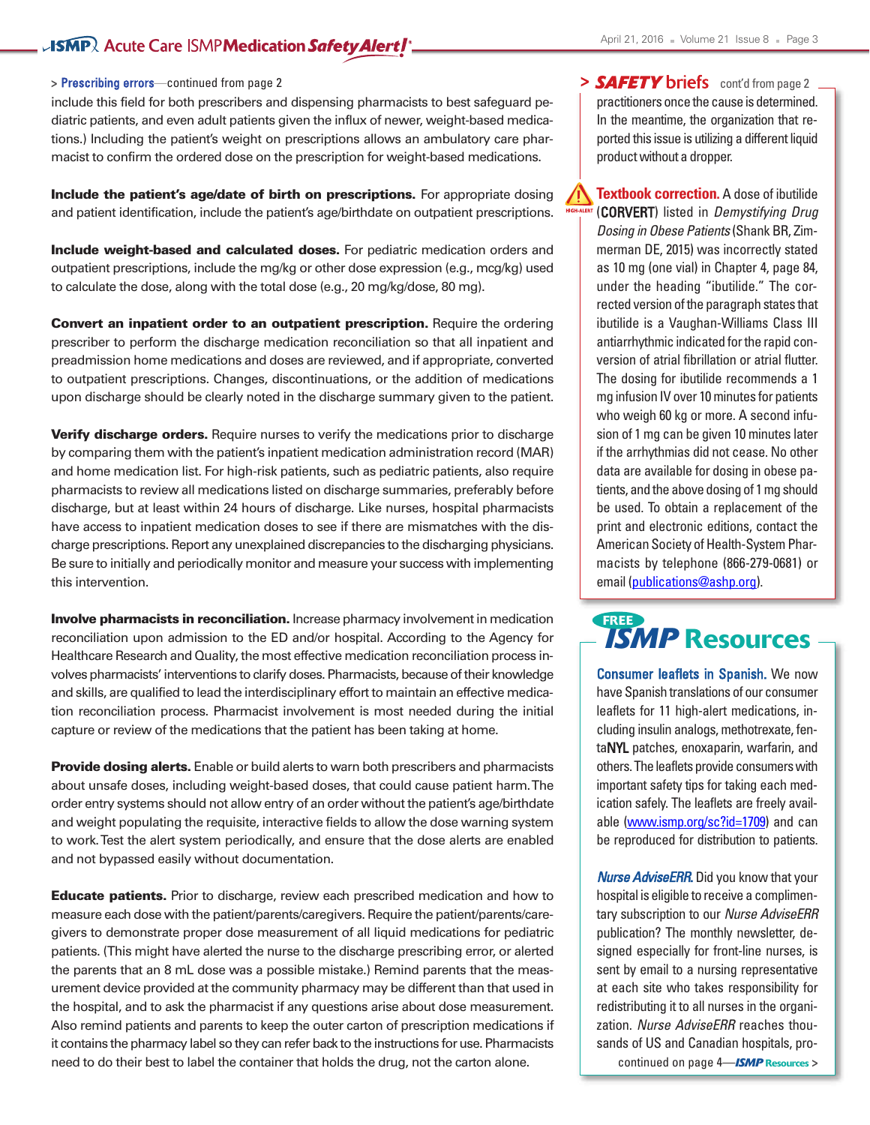### **ISMP** Acute Care ISMP Medication Safety Alertl'

#### > Prescribing errors—continued from page 2 continued from page 2

include this field for both prescribers and dispensing pharmacists to best safeguard pediatric patients, and even adult patients given the influx of newer, weight-based medications.) Including the patient's weight on prescriptions allows an ambulatory care pharmacist to confirm the ordered dose on the prescription for weight-based medications.

**Include the patient's age/date of birth on prescriptions.** For appropriate dosing and patient identification, include the patient's age/birthdate on outpatient prescriptions.

**Include weight-based and calculated doses.** For pediatric medication orders and outpatient prescriptions, include the mg/kg or other dose expression (e.g., mcg/kg) used to calculate the dose, along with the total dose (e.g., 20 mg/kg/dose, 80 mg).

**Convert an inpatient order to an outpatient prescription.** Require the ordering prescriber to perform the discharge medication reconciliation so that all inpatient and preadmission home medications and doses are reviewed, and if appropriate, converted to outpatient prescriptions. Changes, discontinuations, or the addition of medications upon discharge should be clearly noted in the discharge summary given to the patient.

**Verify discharge orders.** Require nurses to verify the medications prior to discharge by comparing them with the patient's inpatient medication administration record (MAR) and home medication list. For high-risk patients, such as pediatric patients, also require pharmacists to review all medications listed on discharge summaries, preferably before discharge, but at least within 24 hours of discharge. Like nurses, hospital pharmacists have access to inpatient medication doses to see if there are mismatches with the discharge prescriptions. Report any unexplained discrepancies to the discharging physicians. Be sure to initially and periodically monitor and measure your success with implementing this intervention.

**Involve pharmacists in reconciliation.**Increase pharmacy involvementin medication reconciliation upon admission to the ED and/or hospital. According to the Agency for Healthcare Research and Quality, the most effective medication reconciliation process involves pharmacists' interventions to clarify doses. Pharmacists, because of their knowledge and skills, are qualified to lead the interdisciplinary effort to maintain an effective medication reconciliation process. Pharmacist involvement is most needed during the initial capture or review of the medications that the patient has been taking at home.

**Provide dosing alerts.** Enable or build alerts to warn both prescribers and pharmacists about unsafe doses, including weight-based doses, that could cause patient harm.The order entry systems should not allow entry of an order without the patient's age/birthdate and weight populating the requisite, interactive fields to allow the dose warning system to work.Test the alert system periodically, and ensure that the dose alerts are enabled and not bypassed easily without documentation.

**Educate patients.** Prior to discharge, review each prescribed medication and how to measure each dose with the patient/parents/caregivers. Require the patient/parents/caregivers to demonstrate proper dose measurement of all liquid medications for pediatric patients. (This might have alerted the nurse to the discharge prescribing error, or alerted the parents that an 8 mL dose was a possible mistake.) Remind parents that the measurement device provided at the community pharmacy may be different than that used in the hospital, and to ask the pharmacist if any questions arise about dose measurement. Also remind patients and parents to keep the outer carton of prescription medications if it contains the pharmacy label so they can refer back to the instructions for use. Pharmacists need to do their best to label the container that holds the drug, not the carton alone.

practitioners once the cause is determined. In the meantime, the organization that reported this issue is utilizing a different liquid product without a dropper.

**Textbook correction.** A dose of ibutilide (CORVERT) listed in *Demystifying Drug Dosing in Obese Patients* (Shank BR, Zimmerman DE, 2015) was incorrectly stated as 10 mg (one vial) in Chapter 4, page 84, under the heading "ibutilide." The corrected version of the paragraph states that ibutilide is a Vaughan-Williams Class III antiarrhythmic indicated forthe rapid conversion of atrial fibrillation or atrial flutter. The dosing for ibutilide recommends a 1 mg infusion IV over 10 minutes for patients who weigh 60 kg or more. A second infusion of 1 mg can be given 10 minutes later if the arrhythmias did not cease. No other data are available for dosing in obese patients, and the above dosing of 1mg should be used. To obtain a replacement of the print and electronic editions, contact the American Society of Health-System Pharmacists by telephone (866-279-0681) or email (publications@ashp.org).



Consumer leaflets in Spanish. We now have Spanish translations of our consumer leaflets for 11 high-alert medications, including insulin analogs, methotrexate, fentaNYL patches, enoxaparin, warfarin, and others. The leaflets provide consumers with important safety tips for taking each medication safely. The leaflets are freely available (www.ismp.org/sc?id=1709) and can be reproduced for distribution to patients.

continued on page 4—*ISMP* **Resources >** *Nurse AdviseERR*. Did you know that your hospital is eligible to receive a complimentary subscription to our *Nurse AdviseERR* publication? The monthly newsletter, designed especially for front-line nurses, is sent by email to a nursing representative at each site who takes responsibility for redistributing it to all nurses in the organization. *Nurse AdviseERR* reaches thousands of US and Canadian hospitals, pro-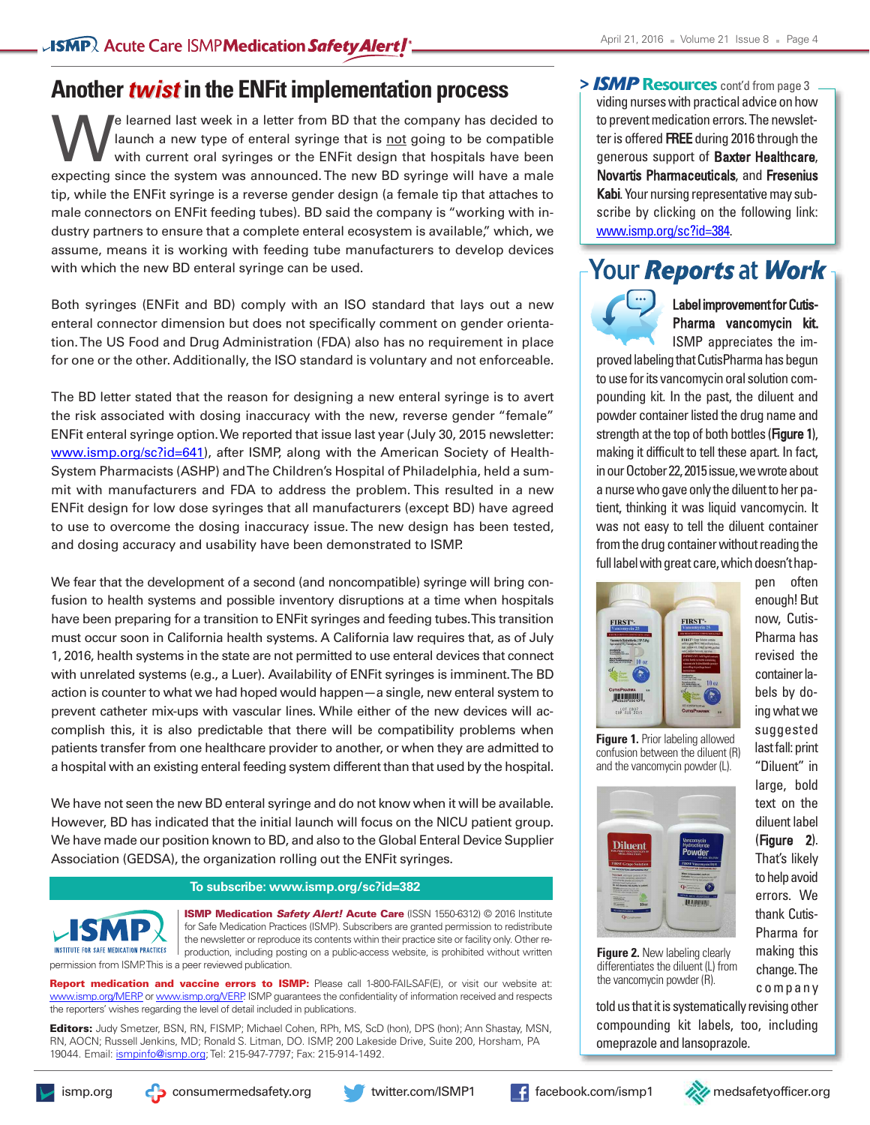## **Another***twist* **in the ENFit implementation process**

We learned last week in a letter from BD that the company has decided to launch a new type of enteral syringe that is <u>not</u> going to be compatible with current oral syringes or the ENFit design that hospitals have been pro launch a new type of enteral syringe that is not going to be compatible with current oral syringes or the ENFit design that hospitals have been expecting since the system was announced.The new BD syringe will have a male tip, while the ENFit syringe is a reverse gender design (a female tip that attaches to male connectors on ENFit feeding tubes). BD said the company is "working with industry partners to ensure that a complete enteral ecosystem is available," which, we assume, means it is working with feeding tube manufacturers to develop devices with which the new BD enteral syringe can be used.

Both syringes (ENFit and BD) comply with an ISO standard that lays out a new enteral connector dimension but does not specifically comment on gender orientation.The US Food and Drug Administration (FDA) also has no requirement in place for one or the other. Additionally, the ISO standard is voluntary and not enforceable.

The BD letter stated that the reason for designing a new enteral syringe is to avert the risk associated with dosing inaccuracy with the new, reverse gender "female" ENFit enteral syringe option.We reported that issue last year (July 30, 2015 newsletter: www.ismp.org/sc?id=641), after ISMP, along with the American Society of Health-System Pharmacists (ASHP) andThe Children's Hospital of Philadelphia, held a summit with manufacturers and FDA to address the problem. This resulted in a new ENFit design for low dose syringes that all manufacturers (except BD) have agreed to use to overcome the dosing inaccuracy issue.The new design has been tested, and dosing accuracy and usability have been demonstrated to ISMP.

We fear that the development of a second (and noncompatible) syringe will bring confusion to health systems and possible inventory disruptions at a time when hospitals have been preparing for a transition to ENFit syringes and feeding tubes.This transition must occur soon in California health systems. A California law requires that, as of July 1, 2016, health systems in the state are not permitted to use enteral devices that connect with unrelated systems (e.g., a Luer). Availability of ENFit syringes is imminent.The BD action is counter to what we had hoped would happen—a single, new enteral system to prevent catheter mix-ups with vascular lines. While either of the new devices will accomplish this, it is also predictable that there will be compatibility problems when patients transfer from one healthcare provider to another, or when they are admitted to a hospital with an existing enteral feeding system different than that used by the hospital.

We have not seen the new BD enteral syringe and do not know when it will be available. However, BD has indicated that the initial launch will focus on the NICU patient group. We have made our position known to BD, and also to the Global Enteral Device Supplier Association (GEDSA), the organization rolling out the ENFit syringes.

#### **To subscribe: www.ismp.org/sc?id=382**



**ISMP Medication** *Safety Alert!* **Acute Care** (ISSN 1550-6312) © 2016 Institute for Safe Medication Practices (ISMP). Subscribers are granted permission to redistribute the newsletter or reproduce its contents within their practice site or facility only. Other reproduction, including posting on a public-access website, is prohibited without written permission from ISMP.This is a peer reviewed publication.

**Report medication and vaccine errors to ISMP:** Please call 1-800-FAIL-SAF(E), or visit our website at: www.ismp.org/MERP or www.ismp.org/VERP. ISMP guarantees the confidentiality of information received and respects the reporters' wishes regarding the level of detail included in publications.

**Editors:** Judy Smetzer, BSN, RN, FISMP; Michael Cohen, RPh, MS, ScD (hon), DPS (hon); Ann Shastay, MSN, RN, AOCN; Russell Jenkins, MD; Ronald S. Litman, DO. ISMP, 200 Lakeside Drive, Suite 200, Horsham, PA 19044. Email: ismpinfo@ismp.org; Tel: 215-947-7797; Fax: 215-914-1492.

viding nurses with practical advice on how to prevent medication errors. The newsletter is offered FREE during 2016 through the generous support of Baxter Healthcare, Novartis Pharmaceuticals, and Fresenius Kabi. Your nursing representative may subscribe by clicking on the following link: www.ismp.org/sc?id=384. *ISMP* **Resources** cont'd from page <sup>3</sup>

## **Your Reports at Work**



### Label improvement for Cutis-Pharma vancomycin kit.

ISMP appreciates the improved labeling that CutisPharma has begun to use forits vancomycin oral solution compounding kit. In the past, the diluent and powder container listed the drug name and strength at the top of both bottles (Figure 1), making it difficult to tell these apart. In fact, in our October 22, 2015 issue, we wrote about a nurse who gave only the diluent to her patient, thinking it was liquid vancomycin. It was not easy to tell the diluent container from the drug container without reading the full label with great care, which doesn't hap-



pen often enough! But now, Cutis-Pharma has revised the containerlabels by doing what we suggested last fall: print "Diluent" in large, bold

**Figure 1.** Prior labeling allowed confusion between the diluent (R) and the vancomycin powder (L).



text on the diluent label (Figure 2). That's likely to help avoid errors. We thank Cutis-Pharma for making this change.The

company

**Figure 2.** New labeling clearly differentiates the diluent (L) from the vancomycin powder (R).

told us that it is systematically revising other compounding kit labels, too, including omeprazole and lansoprazole.